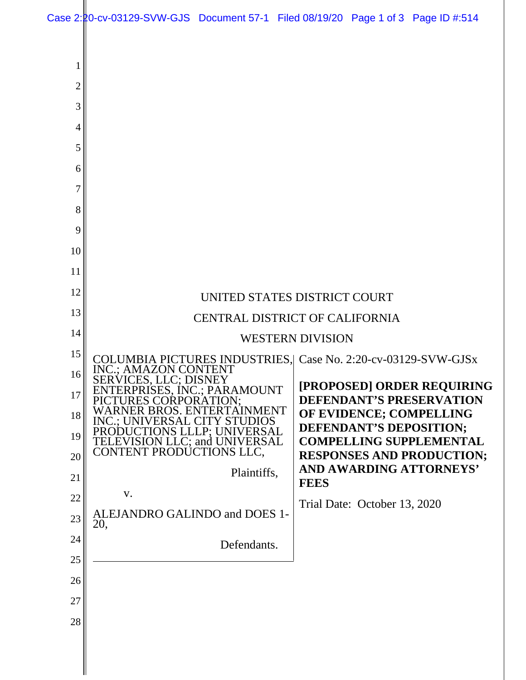Case 2:20-cv-03129-SVW-GJS Document 57-1 Filed 08/19/20 Page 1 of 3 Page ID #:514

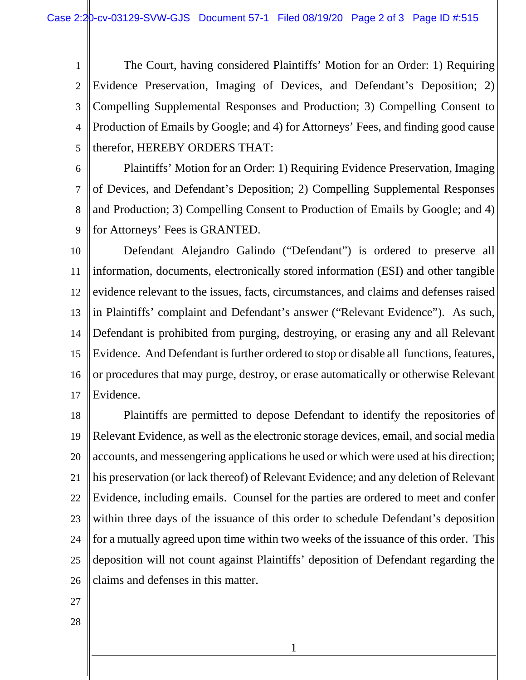Case 2:20-cv-03129-SVW-GJS Document 57-1 Filed 08/19/20 Page 2 of 3 Page ID #:515

1 2 3 4 5 The Court, having considered Plaintiffs' Motion for an Order: 1) Requiring Evidence Preservation, Imaging of Devices, and Defendant's Deposition; 2) Compelling Supplemental Responses and Production; 3) Compelling Consent to Production of Emails by Google; and 4) for Attorneys' Fees, and finding good cause therefor, HEREBY ORDERS THAT:

6

7 8 9 Plaintiffs' Motion for an Order: 1) Requiring Evidence Preservation, Imaging of Devices, and Defendant's Deposition; 2) Compelling Supplemental Responses and Production; 3) Compelling Consent to Production of Emails by Google; and 4) for Attorneys' Fees is GRANTED.

10 11 12 13 14 15 16 17 Defendant Alejandro Galindo ("Defendant") is ordered to preserve all information, documents, electronically stored information (ESI) and other tangible evidence relevant to the issues, facts, circumstances, and claims and defenses raised in Plaintiffs' complaint and Defendant's answer ("Relevant Evidence"). As such, Defendant is prohibited from purging, destroying, or erasing any and all Relevant Evidence. And Defendant is further ordered to stop or disable all functions, features, or procedures that may purge, destroy, or erase automatically or otherwise Relevant Evidence.

18 19 20 21 22 23 24 25 26 Plaintiffs are permitted to depose Defendant to identify the repositories of Relevant Evidence, as well as the electronic storage devices, email, and social media accounts, and messengering applications he used or which were used at his direction; his preservation (or lack thereof) of Relevant Evidence; and any deletion of Relevant Evidence, including emails. Counsel for the parties are ordered to meet and confer within three days of the issuance of this order to schedule Defendant's deposition for a mutually agreed upon time within two weeks of the issuance of this order. This deposition will not count against Plaintiffs' deposition of Defendant regarding the claims and defenses in this matter.

1

27

28